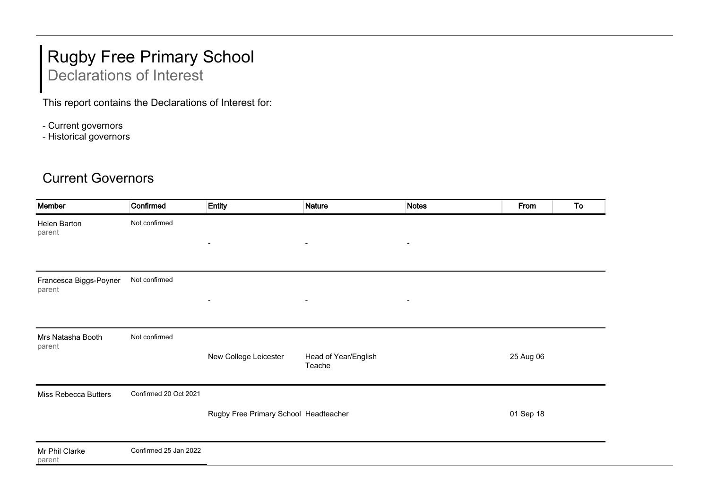## Rugby Free Primary School Declarations of Interest

This report contains the Declarations of Interest for:

- Current governors
- Historical governors

## Current Governors

| Member                           | Confirmed             | <b>Entity</b>                         | <b>Nature</b>                  | <b>Notes</b>             | From      | To |
|----------------------------------|-----------------------|---------------------------------------|--------------------------------|--------------------------|-----------|----|
| Helen Barton<br>parent           | Not confirmed         |                                       |                                |                          |           |    |
|                                  |                       | $\blacksquare$                        | $\blacksquare$                 | $\blacksquare$           |           |    |
| Francesca Biggs-Poyner<br>parent | Not confirmed         |                                       |                                |                          |           |    |
|                                  |                       | $\blacksquare$                        | $\overline{\phantom{a}}$       | $\overline{\phantom{a}}$ |           |    |
| Mrs Natasha Booth<br>parent      | Not confirmed         |                                       |                                |                          |           |    |
|                                  |                       | New College Leicester                 | Head of Year/English<br>Teache |                          | 25 Aug 06 |    |
| <b>Miss Rebecca Butters</b>      | Confirmed 20 Oct 2021 |                                       |                                |                          |           |    |
|                                  |                       | Rugby Free Primary School Headteacher |                                |                          | 01 Sep 18 |    |
| Mr Phil Clarke<br>parent         | Confirmed 25 Jan 2022 |                                       |                                |                          |           |    |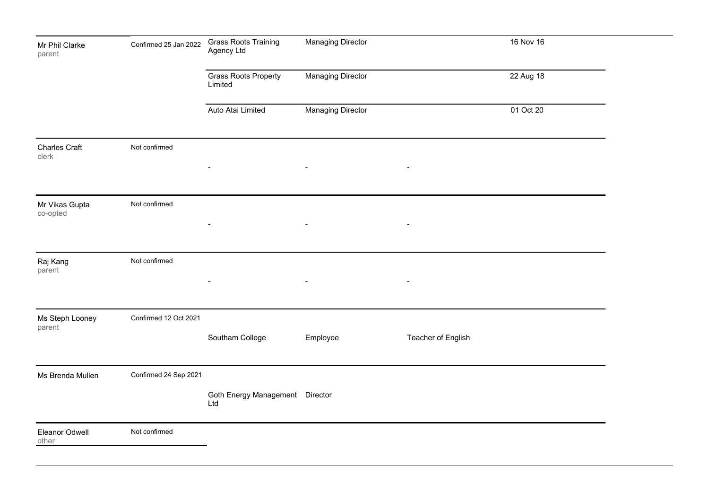| Confirmed 25 Jan 2022 | <b>Grass Roots Training</b><br>Agency Ltd | <b>Managing Director</b> |                                 | 16 Nov 16 |  |
|-----------------------|-------------------------------------------|--------------------------|---------------------------------|-----------|--|
|                       | <b>Grass Roots Property</b><br>Limited    | <b>Managing Director</b> |                                 | 22 Aug 18 |  |
|                       | Auto Atai Limited                         | <b>Managing Director</b> |                                 | 01 Oct 20 |  |
| Not confirmed         | $\overline{\phantom{a}}$                  | $\overline{\phantom{a}}$ | $\overline{\phantom{a}}$        |           |  |
| Not confirmed         | $\blacksquare$                            | $\blacksquare$           | $\overline{\phantom{a}}$        |           |  |
| Not confirmed         |                                           | $\overline{\phantom{a}}$ | $\blacksquare$                  |           |  |
| Confirmed 12 Oct 2021 | Southam College                           | Employee                 | Teacher of English              |           |  |
| Confirmed 24 Sep 2021 | Ltd                                       |                          |                                 |           |  |
| Not confirmed         |                                           |                          |                                 |           |  |
|                       |                                           |                          | Goth Energy Management Director |           |  |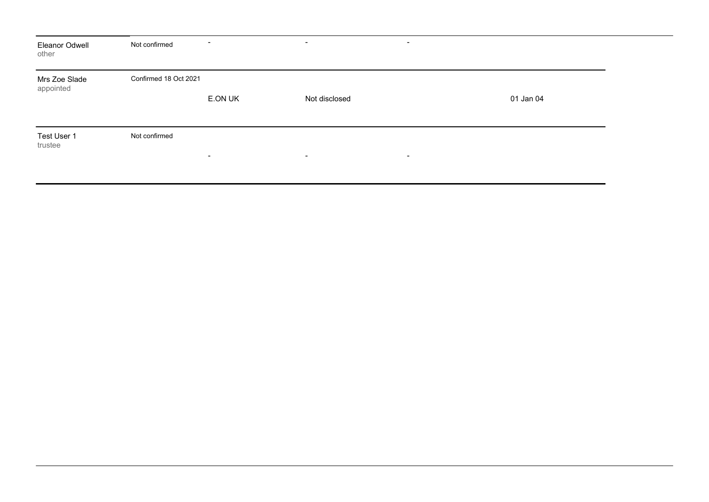| Eleanor Odwell<br>other    | Not confirmed         | $\blacksquare$           | $\qquad \qquad$<br>$\overline{\phantom{0}}$ |           |
|----------------------------|-----------------------|--------------------------|---------------------------------------------|-----------|
| Mrs Zoe Slade<br>appointed | Confirmed 18 Oct 2021 | E.ON UK                  | Not disclosed                               | 01 Jan 04 |
| Test User 1<br>trustee     | Not confirmed         | $\overline{\phantom{a}}$ | $\sim$<br>$\blacksquare$                    |           |